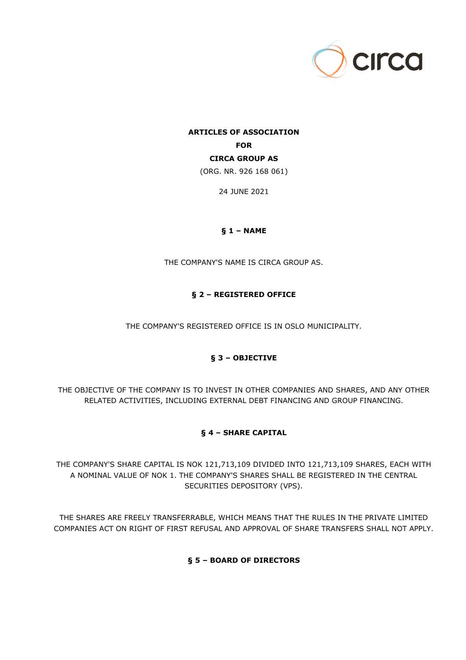

# **ARTICLES OF ASSOCIATION FOR CIRCA GROUP AS** (ORG. NR. 926 168 061)

24 JUNE 2021

## **§ 1 – NAME**

THE COMPANY'S NAME IS CIRCA GROUP AS.

## **§ 2 – REGISTERED OFFICE**

THE COMPANY'S REGISTERED OFFICE IS IN OSLO MUNICIPALITY.

## **§ 3 – OBJECTIVE**

THE OBJECTIVE OF THE COMPANY IS TO INVEST IN OTHER COMPANIES AND SHARES, AND ANY OTHER RELATED ACTIVITIES, INCLUDING EXTERNAL DEBT FINANCING AND GROUP FINANCING.

## **§ 4 – SHARE CAPITAL**

THE COMPANY'S SHARE CAPITAL IS NOK 121,713,109 DIVIDED INTO 121,713,109 SHARES, EACH WITH A NOMINAL VALUE OF NOK 1. THE COMPANY'S SHARES SHALL BE REGISTERED IN THE CENTRAL SECURITIES DEPOSITORY (VPS).

THE SHARES ARE FREELY TRANSFERRABLE, WHICH MEANS THAT THE RULES IN THE PRIVATE LIMITED COMPANIES ACT ON RIGHT OF FIRST REFUSAL AND APPROVAL OF SHARE TRANSFERS SHALL NOT APPLY.

## **§ 5 – BOARD OF DIRECTORS**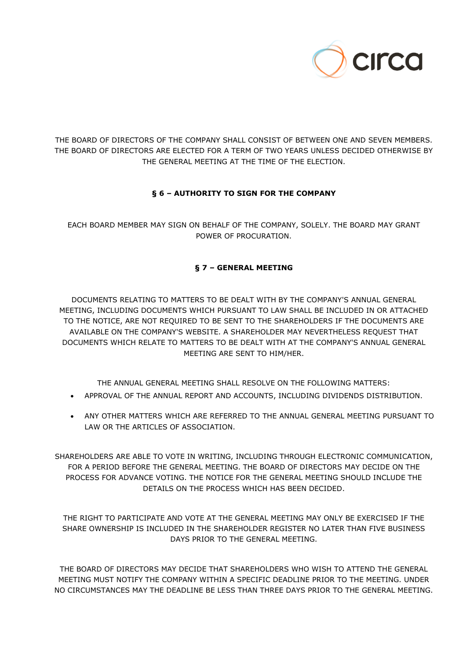

THE BOARD OF DIRECTORS OF THE COMPANY SHALL CONSIST OF BETWEEN ONE AND SEVEN MEMBERS. THE BOARD OF DIRECTORS ARE ELECTED FOR A TERM OF TWO YEARS UNLESS DECIDED OTHERWISE BY THE GENERAL MEETING AT THE TIME OF THE ELECTION.

## **§ 6 – AUTHORITY TO SIGN FOR THE COMPANY**

EACH BOARD MEMBER MAY SIGN ON BEHALF OF THE COMPANY, SOLELY. THE BOARD MAY GRANT POWER OF PROCURATION.

## **§ 7 – GENERAL MEETING**

DOCUMENTS RELATING TO MATTERS TO BE DEALT WITH BY THE COMPANY'S ANNUAL GENERAL MEETING, INCLUDING DOCUMENTS WHICH PURSUANT TO LAW SHALL BE INCLUDED IN OR ATTACHED TO THE NOTICE, ARE NOT REQUIRED TO BE SENT TO THE SHAREHOLDERS IF THE DOCUMENTS ARE AVAILABLE ON THE COMPANY'S WEBSITE. A SHAREHOLDER MAY NEVERTHELESS REQUEST THAT DOCUMENTS WHICH RELATE TO MATTERS TO BE DEALT WITH AT THE COMPANY'S ANNUAL GENERAL MEETING ARE SENT TO HIM/HER.

THE ANNUAL GENERAL MEETING SHALL RESOLVE ON THE FOLLOWING MATTERS:

- APPROVAL OF THE ANNUAL REPORT AND ACCOUNTS, INCLUDING DIVIDENDS DISTRIBUTION.
- ANY OTHER MATTERS WHICH ARE REFERRED TO THE ANNUAL GENERAL MEETING PURSUANT TO LAW OR THE ARTICLES OF ASSOCIATION.

SHAREHOLDERS ARE ABLE TO VOTE IN WRITING, INCLUDING THROUGH ELECTRONIC COMMUNICATION, FOR A PERIOD BEFORE THE GENERAL MEETING. THE BOARD OF DIRECTORS MAY DECIDE ON THE PROCESS FOR ADVANCE VOTING. THE NOTICE FOR THE GENERAL MEETING SHOULD INCLUDE THE DETAILS ON THE PROCESS WHICH HAS BEEN DECIDED.

THE RIGHT TO PARTICIPATE AND VOTE AT THE GENERAL MEETING MAY ONLY BE EXERCISED IF THE SHARE OWNERSHIP IS INCLUDED IN THE SHAREHOLDER REGISTER NO LATER THAN FIVE BUSINESS DAYS PRIOR TO THE GENERAL MEETING.

THE BOARD OF DIRECTORS MAY DECIDE THAT SHAREHOLDERS WHO WISH TO ATTEND THE GENERAL MEETING MUST NOTIFY THE COMPANY WITHIN A SPECIFIC DEADLINE PRIOR TO THE MEETING. UNDER NO CIRCUMSTANCES MAY THE DEADLINE BE LESS THAN THREE DAYS PRIOR TO THE GENERAL MEETING.